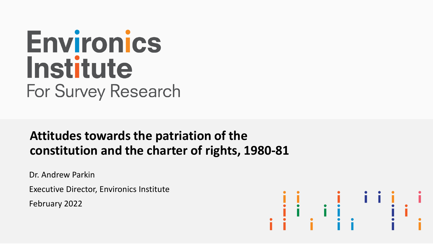# Environics Institute For Survey Research

### **Attitudes towards the patriation of the constitution and the charter of rights, 1980-81**

Dr. Andrew Parkin

Executive Director, Environics Institute

February 2022

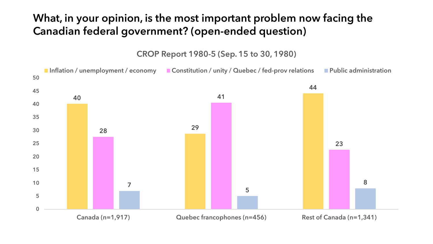### What, in your opinion, is the most important problem now facing the Canadian federal government? (open-ended question)

CROP Report 1980-5 (Sep. 15 to 30, 1980)

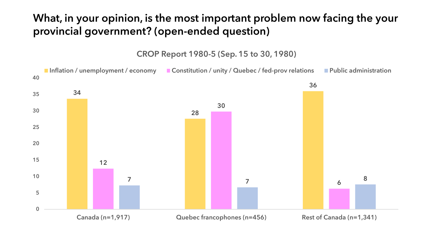### What, in your opinion, is the most important problem now facing the your provincial government? (open-ended question)

CROP Report 1980-5 (Sep. 15 to 30, 1980)

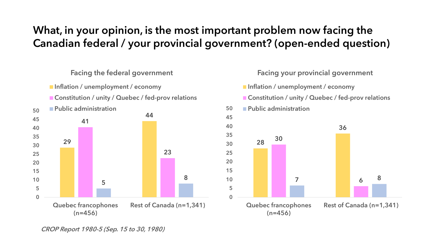### What, in your opinion, is the most important problem now facing the Canadian federal / your provincial government? (open-ended question)

#### Facing the federal government

- **Inflation / unemployment / economy**
- Constitution / unity / Quebec / fed-prov relations



#### Facing your provincial government

- **Inflation / unemployment / economy**
- Constitution / unity / Quebec / fed-prov relations



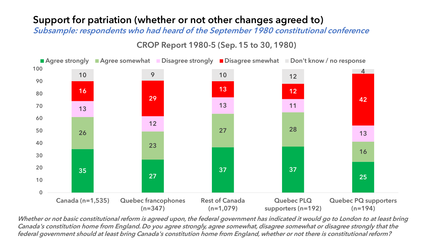#### Support for patriation (whether or not other changes agreed to)

Subsample: respondents who had heard of the September 1980 constitutional conference

CROP Report 1980-5 (Sep. 15 to 30, 1980)



Whether or not basic constitutional reform is agreed upon, the federal government has indicated it would go to London to at least bring Canada's constitution home from England. Do you agree strongly, agree somewhat, disagree somewhat or disagree strongly that the federal government should at least bring Canada's constitution home from England, whether or not there is constitutional reform?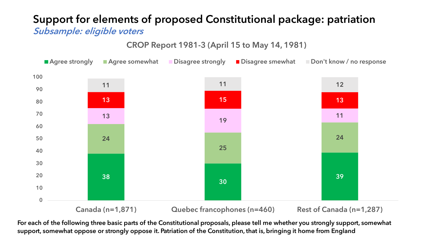#### Support for elements of proposed Constitutional package: patriation Subsample: eligible voters

CROP Report 1981-3 (April 15 to May 14, 1981)



Canada (n=1,871) Quebec francophones (n=460) Rest of Canada (n=1,287)

For each of the following three basic parts of the Constitutional proposals, please tell me whether you strongly support, somewhat support, somewhat oppose or strongly oppose it. Patriation of the Constitution, that is, bringing it home from England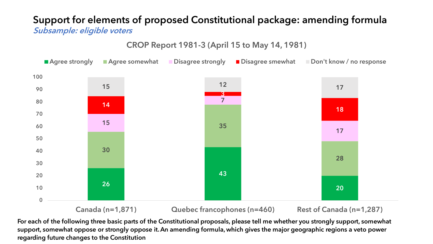#### Support for elements of proposed Constitutional package: amending formula Subsample: eligible voters

CROP Report 1981-3 (April 15 to May 14, 1981)



Canada (n=1,871) Quebec francophones (n=460) Rest of Canada (n=1,287)

For each of the following three basic parts of the Constitutional proposals, please tell me whether you strongly support, somewhat support, somewhat oppose or strongly oppose it. An amending formula, which gives the major geographic regions a veto power regarding future changes to the Constitution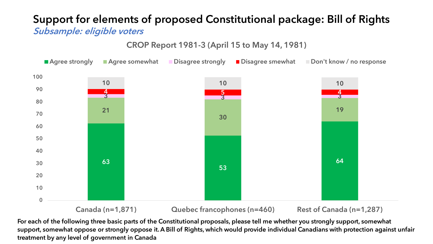#### Support for elements of proposed Constitutional package: Bill of Rights Subsample: eligible voters

CROP Report 1981-3 (April 15 to May 14, 1981)



Canada (n=1,871) Quebec francophones (n=460) Rest of Canada (n=1,287)

For each of the following three basic parts of the Constitutional proposals, please tell me whether you strongly support, somewhat support, somewhat oppose or strongly oppose it. A Bill of Rights, which would provide individual Canadians with protection against unfair treatment by any level of government in Canada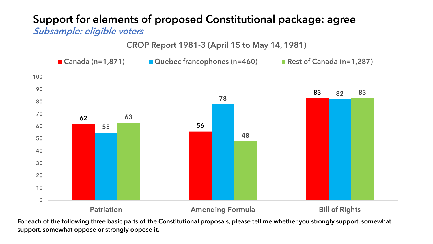#### Support for elements of proposed Constitutional package: agree Subsample: eligible voters

CROP Report 1981-3 (April 15 to May 14, 1981)

  $\Omega$  Patriation **Amending Formula** Bill of Rights ■ Canada (n=1,871) Duebec francophones (n=460) Rest of Canada (n=1,287)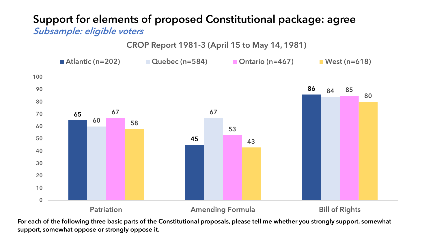# Support for elements of proposed Constitutional package: agree

Subsample: eligible voters

CROP Report 1981-3 (April 15 to May 14, 1981)

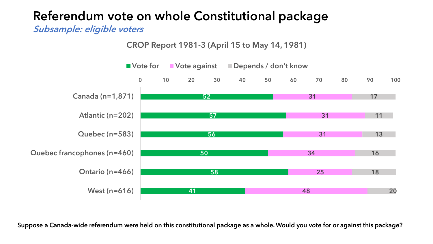Subsample: eligible voters

CROP Report 1981-3 (April 15 to May 14, 1981)

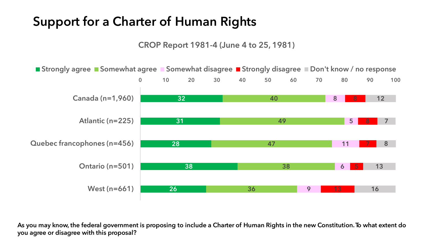### Support for a Charter of Human Rights

CROP Report 1981-4 (June 4 to 25, 1981)



As you may know, the federal government is proposing to include a Charter of Human Rights in the new Constitution. To what extent do you agree or disagree with this proposal?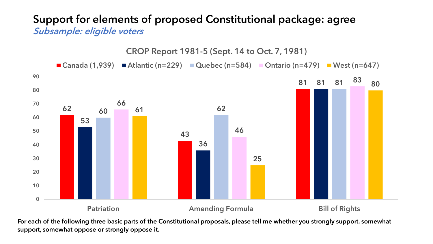#### Support for elements of proposed Constitutional package: agree Subsample: eligible voters

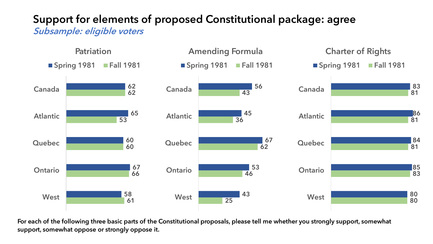#### Support for elements of proposed Constitutional package: agree Subsample: eligible voters

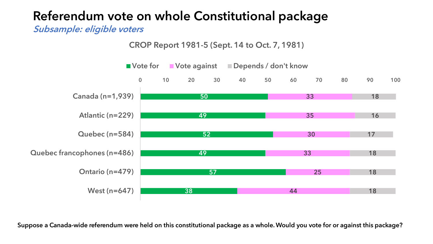Subsample: eligible voters

CROP Report 1981-5 (Sept. 14 to Oct. 7, 1981)

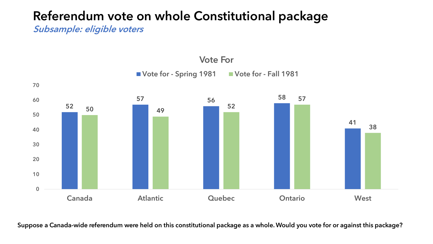Subsample: eligible voters

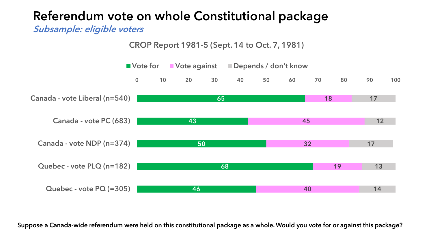Subsample: eligible voters

CROP Report 1981-5 (Sept. 14 to Oct. 7, 1981)

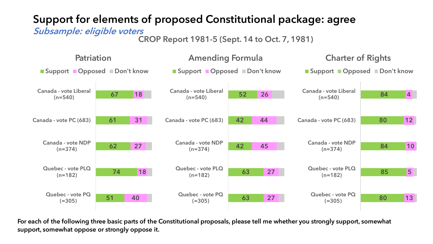### Support for elements of proposed Constitutional package: agree

#### Subsample: eligible voters

CROP Report 1981-5 (Sept. 14 to Oct. 7, 1981)

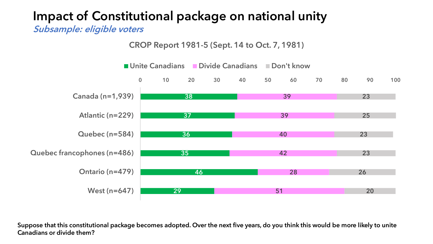# Impact of Constitutional package on national unity

Subsample: eligible voters

CROP Report 1981-5 (Sept. 14 to Oct. 7, 1981)



Suppose that this constitutional package becomes adopted. Over the next five years, do you think this would be more likely to unite Canadians or divide them?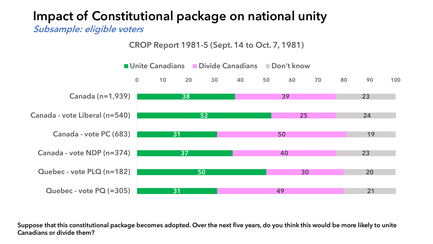### Impact of Constitutional package on national unity

Subsample: eligible voters

CROP Report 1981-5 (Sept. 14 to Oct. 7, 1981)



Suppose that this constitutional package becomes adopted. Over the next five years, do you think this would be more likely to unite Canadians or divide them?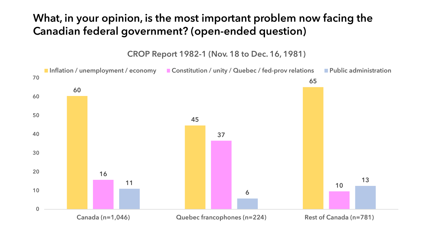### What, in your opinion, is the most important problem now facing the Canadian federal government? (open-ended question)

CROP Report 1982-1 (Nov. 18 to Dec. 16, 1981)

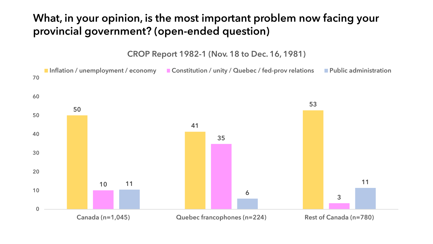### What, in your opinion, is the most important problem now facing your provincial government? (open-ended question)

CROP Report 1982-1 (Nov. 18 to Dec. 16, 1981)